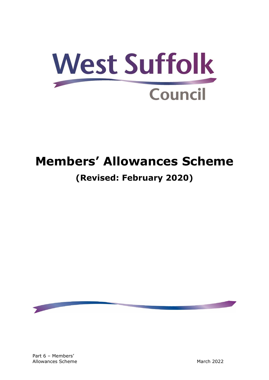

# **Members' Allowances Scheme**

# **(Revised: February 2020)**

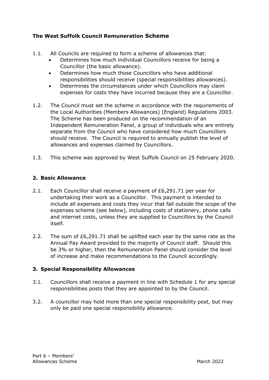# **The West Suffolk Council Remuneration Scheme**

- 1.1. All Councils are required to form a scheme of allowances that:
	- Determines how much individual Councillors receive for being a Councillor (the basic allowance).
	- Determines how much those Councillors who have additional responsibilities should receive (special responsibilities allowances).
	- Determines the circumstances under which Councillors may claim expenses for costs they have incurred because they are a Councillor.
- 1.2. The Council must set the scheme in accordance with the requirements of the Local Authorities (Members Allowances) (England) Regulations 2003. The Scheme has been produced on the recommendation of an Independent Remuneration Panel, a group of individuals who are entirely separate from the Council who have considered how much Councillors should receive. The Council is required to annually publish the level of allowances and expenses claimed by Councillors.
- 1.3. This scheme was approved by West Suffolk Council on 25 February 2020.

# **2. Basic Allowance**

- 2.1. Each Councillor shall receive a payment of £6,291.71 per year for undertaking their work as a Councillor. This payment is intended to include all expenses and costs they incur that fall outside the scope of the expenses scheme (see below), including costs of stationery, phone calls and internet costs, unless they are supplied to Councillors by the Council itself.
- 2.2. The sum of £6,291.71 shall be uplifted each year by the same rate as the Annual Pay Award provided to the majority of Council staff. Should this be 3% or higher, then the Remuneration Panel should consider the level of increase and make recommendations to the Council accordingly.

# **3. Special Responsibility Allowances**

- 3.1. Councillors shall receive a payment in line with Schedule 1 for any special responsibilities posts that they are appointed to by the Council.
- 3.2. A councillor may hold more than one special responsibility post, but may only be paid one special responsibility allowance.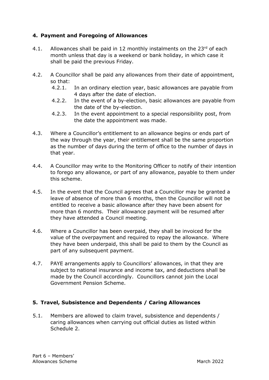# **4. Payment and Foregoing of Allowances**

- 4.1. Allowances shall be paid in 12 monthly instalments on the  $23<sup>rd</sup>$  of each month unless that day is a weekend or bank holiday, in which case it shall be paid the previous Friday.
- 4.2. A Councillor shall be paid any allowances from their date of appointment, so that:
	- 4.2.1. In an ordinary election year, basic allowances are payable from 4 days after the date of election.
	- 4.2.2. In the event of a by-election, basic allowances are payable from the date of the by-election.
	- 4.2.3. In the event appointment to a special responsibility post, from the date the appointment was made.
- 4.3. Where a Councillor's entitlement to an allowance begins or ends part of the way through the year, their entitlement shall be the same proportion as the number of days during the term of office to the number of days in that year.
- 4.4. A Councillor may write to the Monitoring Officer to notify of their intention to forego any allowance, or part of any allowance, payable to them under this scheme.
- 4.5. In the event that the Council agrees that a Councillor may be granted a leave of absence of more than 6 months, then the Councillor will not be entitled to receive a basic allowance after they have been absent for more than 6 months. Their allowance payment will be resumed after they have attended a Council meeting.
- 4.6. Where a Councillor has been overpaid, they shall be invoiced for the value of the overpayment and required to repay the allowance. Where they have been underpaid, this shall be paid to them by the Council as part of any subsequent payment.
- 4.7. PAYE arrangements apply to Councillors' allowances, in that they are subject to national insurance and income tax, and deductions shall be made by the Council accordingly. Councillors cannot join the Local Government Pension Scheme.

# **5. Travel, Subsistence and Dependents / Caring Allowances**

5.1. Members are allowed to claim travel, subsistence and dependents / caring allowances when carrying out official duties as listed within Schedule 2.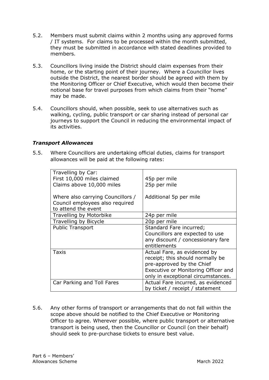- 5.2. Members must submit claims within 2 months using any approved forms / IT systems. For claims to be processed within the month submitted, they must be submitted in accordance with stated deadlines provided to members.
- 5.3. Councillors living inside the District should claim expenses from their home, or the starting point of their journey. Where a Councillor lives outside the District, the nearest border should be agreed with them by the Monitoring Officer or Chief Executive, which would then become their notional base for travel purposes from which claims from their "home" may be made.
- 5.4. Councillors should, when possible, seek to use alternatives such as walking, cycling, public transport or car sharing instead of personal car journeys to support the Council in reducing the environmental impact of its activities.

#### *Transport Allowances*

5.5. Where Councillors are undertaking official duties, claims for transport allowances will be paid at the following rates:

| Travelling by Car:                |                                     |
|-----------------------------------|-------------------------------------|
| First 10,000 miles claimed        | 45p per mile                        |
| Claims above 10,000 miles         | 25p per mile                        |
|                                   |                                     |
| Where also carrying Councillors / | Additional 5p per mile              |
| Council employees also required   |                                     |
| to attend the event               |                                     |
| Travelling by Motorbike           | 24p per mile                        |
| Travelling by Bicycle             | 20p per mile                        |
| <b>Public Transport</b>           | Standard Fare incurred;             |
|                                   | Councillors are expected to use     |
|                                   | any discount / concessionary fare   |
|                                   | entitlements                        |
| Taxis                             | Actual Fare, as evidenced by        |
|                                   | receipt; this should normally be    |
|                                   | pre-approved by the Chief           |
|                                   | Executive or Monitoring Officer and |
|                                   | only in exceptional circumstances.  |
| Car Parking and Toll Fares        | Actual Fare incurred, as evidenced  |
|                                   | by ticket / receipt / statement     |

5.6. Any other forms of transport or arrangements that do not fall within the scope above should be notified to the Chief Executive or Monitoring Officer to agree. Wherever possible, where public transport or alternative transport is being used, then the Councillor or Council (on their behalf) should seek to pre-purchase tickets to ensure best value.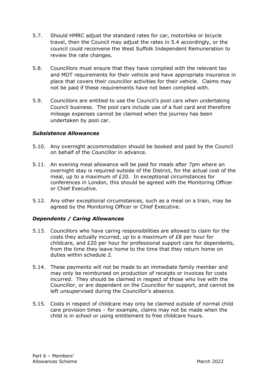- 5.7. Should HMRC adjust the standard rates for car, motorbike or bicycle travel, then the Council may adjust the rates in 5.4 accordingly, or the council could reconvene the West Suffolk Independent Remuneration to review the rate changes.
- 5.8. Councillors must ensure that they have complied with the relevant tax and MOT requirements for their vehicle and have appropriate insurance in place that covers their councillor activities for their vehicle. Claims may not be paid if these requirements have not been complied with.
- 5.9. Councillors are entitled to use the Council's pool cars when undertaking Council business. The pool cars include use of a fuel card and therefore mileage expenses cannot be claimed when the journey has been undertaken by pool car.

#### *Subsistence Allowances*

- 5.10. Any overnight accommodation should be booked and paid by the Council on behalf of the Councillor in advance.
- 5.11. An evening meal allowance will be paid for meals after 7pm where an overnight stay is required outside of the District, for the actual cost of the meal, up to a maximum of £20. In exceptional circumstances for conferences in London, this should be agreed with the Monitoring Officer or Chief Executive.
- 5.12. Any other exceptional circumstances, such as a meal on a train, may be agreed by the Monitoring Officer or Chief Executive.

#### *Dependents / Caring Allowances*

- 5.13. Councillors who have caring responsibilities are allowed to claim for the costs they actually incurred, up to a maximum of £8 per hour for childcare, and £20 per hour for professional support care for dependents, from the time they leave home to the time that they return home on duties within schedule 2.
- 5.14. These payments will not be made to an immediate family member and may only be reimbursed on production of receipts or invoices for costs incurred. They should be claimed in respect of those who live with the Councillor, or are dependent on the Councillor for support, and cannot be left unsupervised during the Councillor's absence.
- 5.15. Costs in respect of childcare may only be claimed outside of normal child care provision times – for example, claims may not be made when the child is in school or using entitlement to free childcare hours.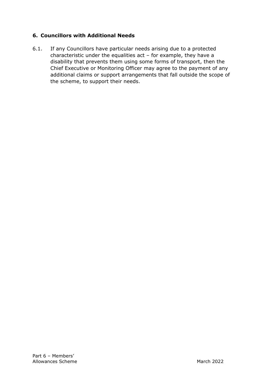# **6. Councillors with Additional Needs**

6.1. If any Councillors have particular needs arising due to a protected characteristic under the equalities act – for example, they have a disability that prevents them using some forms of transport, then the Chief Executive or Monitoring Officer may agree to the payment of any additional claims or support arrangements that fall outside the scope of the scheme, to support their needs.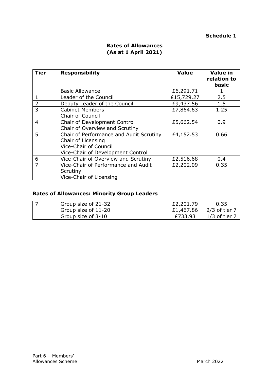#### **Schedule 1**

| <b>Tier</b>    | <b>Responsibility</b>                                                                                                              | <b>Value</b> | <b>Value in</b><br>relation to<br>basic |
|----------------|------------------------------------------------------------------------------------------------------------------------------------|--------------|-----------------------------------------|
|                | <b>Basic Allowance</b>                                                                                                             | £6,291.71    |                                         |
| $\mathbf{1}$   | <b>Leader of the Council</b>                                                                                                       | £15,729.27   | 2.5                                     |
| $\overline{2}$ | Deputy Leader of the Council                                                                                                       | £9,437.56    | 1.5                                     |
| 3              | <b>Cabinet Members</b><br><b>Chair of Council</b>                                                                                  | £7,864.63    | 1.25                                    |
| $\overline{4}$ | Chair of Development Control<br>Chair of Overview and Scrutiny                                                                     | £5,662.54    | 0.9                                     |
| 5              | Chair of Performance and Audit Scrutiny<br>Chair of Licensing<br><b>Vice-Chair of Council</b><br>Vice-Chair of Development Control | £4,152.53    | 0.66                                    |
| 6              | Vice-Chair of Overview and Scrutiny                                                                                                | £2,516.68    | 0.4                                     |
| $\overline{7}$ | Vice-Chair of Performance and Audit<br>Scrutiny<br>Vice-Chair of Licensing                                                         | £2,202.09    | 0.35                                    |

# **Rates of Allowances (As at 1 April 2021)**

# **Rates of Allowances: Minority Group Leaders**

| Group size of 21-32             | £2,201.79 | 0.35          |
|---------------------------------|-----------|---------------|
| Group size of 11-20             | £1,467.86 | $2/3$ of tier |
| <sup>'</sup> Group size of 3-10 | £733.93   | $1/3$ of tier |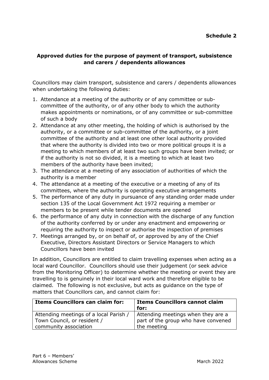# **Approved duties for the purpose of payment of transport, subsistence and carers / dependents allowances**

Councillors may claim transport, subsistence and carers / dependents allowances when undertaking the following duties:

- 1. Attendance at a meeting of the authority or of any committee or subcommittee of the authority, or of any other body to which the authority makes appointments or nominations, or of any committee or sub-committee of such a body
- 2. Attendance at any other meeting, the holding of which is authorised by the authority, or a committee or sub-committee of the authority, or a joint committee of the authority and at least one other local authority provided that where the authority is divided into two or more political groups it is a meeting to which members of at least two such groups have been invited; or if the authority is not so divided, it is a meeting to which at least two members of the authority have been invited;
- 3. The attendance at a meeting of any association of authorities of which the authority is a member
- 4. The attendance at a meeting of the executive or a meeting of any of its committees, where the authority is operating executive arrangements
- 5. The performance of any duty in pursuance of any standing order made under section 135 of the Local Government Act 1972 requiring a member or members to be present while tender documents are opened
- 6. the performance of any duty in connection with the discharge of any function of the authority conferred by or under any enactment and empowering or requiring the authority to inspect or authorise the inspection of premises
- 7. Meetings arranged by, or on behalf of, or approved by any of the Chief Executive, Directors Assistant Directors or Service Managers to which Councillors have been invited

In addition, Councillors are entitled to claim travelling expenses when acting as a local ward Councillor. Councillors should use their judgement (or seek advice from the Monitoring Officer) to determine whether the meeting or event they are travelling to is genuinely in their local ward work and therefore eligible to be claimed. The following is not exclusive, but acts as guidance on the type of matters that Councillors can, and cannot claim for:

| <b>Items Councillors can claim for:</b> | <b>Items Councillors cannot claim</b><br>for: |
|-----------------------------------------|-----------------------------------------------|
| Attending meetings of a local Parish /  | Attending meetings when they are a            |
| Town Council, or resident /             | part of the group who have convened           |
| community association                   | the meeting                                   |